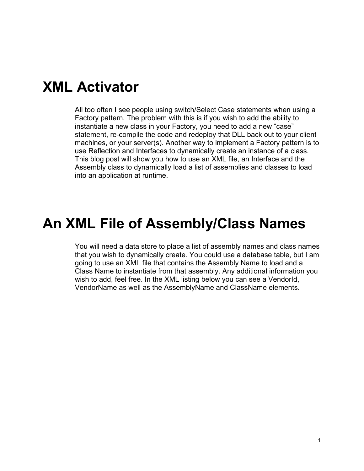### **XML Activator**

All too often I see people using switch/Select Case statements when using a Factory pattern. The problem with this is if you wish to add the ability to instantiate a new class in your Factory, you need to add a new "case" statement, re-compile the code and redeploy that DLL back out to your client machines, or your server(s). Another way to implement a Factory pattern is to use Reflection and Interfaces to dynamically create an instance of a class. This blog post will show you how to use an XML file, an Interface and the Assembly class to dynamically load a list of assemblies and classes to load into an application at runtime.

#### **An XML File of Assembly/Class Names**

You will need a data store to place a list of assembly names and class names that you wish to dynamically create. You could use a database table, but I am going to use an XML file that contains the Assembly Name to load and a Class Name to instantiate from that assembly. Any additional information you wish to add, feel free. In the XML listing below you can see a VendorId, VendorName as well as the AssemblyName and ClassName elements.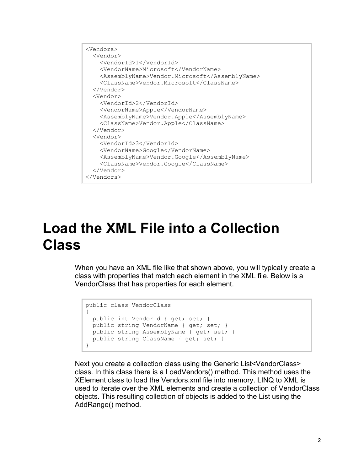```
<Vendors>
  <Vendor>
    <VendorId>1</VendorId>
    <VendorName>Microsoft</VendorName>
    <AssemblyName>Vendor.Microsoft</AssemblyName>
    <ClassName>Vendor.Microsoft</ClassName>
  </Vendor>
  <Vendor>
    <VendorId>2</VendorId>
     <VendorName>Apple</VendorName>
    <AssemblyName>Vendor.Apple</AssemblyName>
    <ClassName>Vendor.Apple</ClassName>
  </Vendor>
  <Vendor>
    <VendorId>3</VendorId>
     <VendorName>Google</VendorName>
    <AssemblyName>Vendor.Google</AssemblyName>
    <ClassName>Vendor.Google</ClassName>
  </Vendor>
</Vendors>
```
## **Load the XML File into a Collection Class**

When you have an XML file like that shown above, you will typically create a class with properties that match each element in the XML file. Below is a VendorClass that has properties for each element.

```
public class VendorClass
{
  public int VendorId { get; set; }
  public string VendorName { get; set; }
  public string AssemblyName { get; set; }
 public string ClassName { get; set; }
}
```
Next you create a collection class using the Generic List<VendorClass> class. In this class there is a LoadVendors() method. This method uses the XElement class to load the Vendors.xml file into memory. LINQ to XML is used to iterate over the XML elements and create a collection of VendorClass objects. This resulting collection of objects is added to the List using the AddRange() method.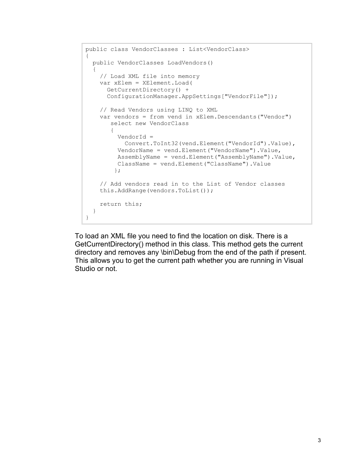```
public class VendorClasses : List<VendorClass>
{
  public VendorClasses LoadVendors()
\{ // Load XML file into memory
    var xElem = XElement.Load(
      GetCurrentDirectory() + 
      ConfigurationManager.AppSettings["VendorFile"]);
     // Read Vendors using LINQ to XML
     var vendors = from vend in xElem.Descendants("Vendor")
        select new VendorClass
\{ VendorId =
           Convert.ToInt32(vend.Element("VendorId").Value),
          VendorName = vend.Element("VendorName").Value,
         AssemblyName = vend.Element("AssemblyName").Value,
         ClassName = vend.Element("ClassName").Value
         };
     // Add vendors read in to the List of Vendor classes
     this.AddRange(vendors.ToList());
    return this;
  }
}
```
To load an XML file you need to find the location on disk. There is a GetCurrentDirectory() method in this class. This method gets the current directory and removes any \bin\Debug from the end of the path if present. This allows you to get the current path whether you are running in Visual Studio or not.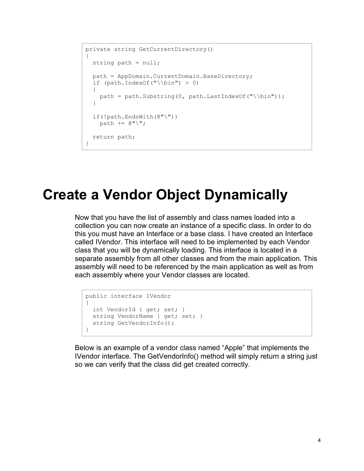```
private string GetCurrentDirectory()
{
   string path = null;
   path = AppDomain.CurrentDomain.BaseDirectory;
  if (path-IndexOf('')\bin'') > 0) {
    path = path.Substring(0, path.LastIndexOf("\\bin"));
   }
   if(!path.EndsWith(@"\"))
   path += \mathbb{C}^{\mathsf{H}}\backslash\mathsf{H};
   return path;
}
```
### **Create a Vendor Object Dynamically**

Now that you have the list of assembly and class names loaded into a collection you can now create an instance of a specific class. In order to do this you must have an Interface or a base class. I have created an Interface called IVendor. This interface will need to be implemented by each Vendor class that you will be dynamically loading. This interface is located in a separate assembly from all other classes and from the main application. This assembly will need to be referenced by the main application as well as from each assembly where your Vendor classes are located.

```
public interface IVendor
{
  int VendorId { get; set; }
 string VendorName { get; set; }
 string GetVendorInfo();
}
```
Below is an example of a vendor class named "Apple" that implements the IVendor interface. The GetVendorInfo() method will simply return a string just so we can verify that the class did get created correctly.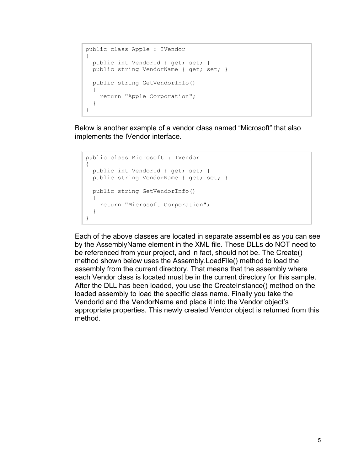```
public class Apple : IVendor
{
  public int VendorId { get; set; }
   public string VendorName { get; set; }
  public string GetVendorInfo()
   {
     return "Apple Corporation";
   }
}
```
Below is another example of a vendor class named "Microsoft" that also implements the IVendor interface.

```
public class Microsoft : IVendor
{
  public int VendorId { get; set; }
  public string VendorName { get; set; }
  public string GetVendorInfo()
  {
    return "Microsoft Corporation";
   }
}
```
Each of the above classes are located in separate assemblies as you can see by the AssemblyName element in the XML file. These DLLs do NOT need to be referenced from your project, and in fact, should not be. The Create() method shown below uses the Assembly.LoadFile() method to load the assembly from the current directory. That means that the assembly where each Vendor class is located must be in the current directory for this sample. After the DLL has been loaded, you use the CreateInstance() method on the loaded assembly to load the specific class name. Finally you take the VendorId and the VendorName and place it into the Vendor object's appropriate properties. This newly created Vendor object is returned from this method.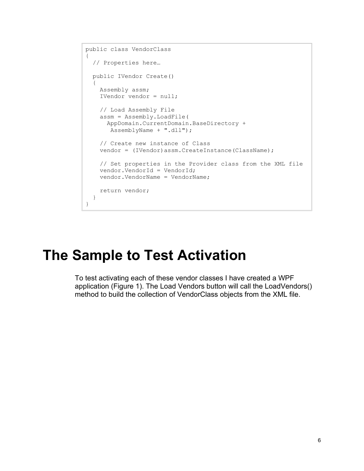```
public class VendorClass
{
   // Properties here…
   public IVendor Create()
   {
     Assembly assm;
     IVendor vendor = null;
     // Load Assembly File
     assm = Assembly.LoadFile(
       AppDomain.CurrentDomain.BaseDirectory + 
        AssemblyName + ".dll");
     // Create new instance of Class
    vendor = (IVendor)assm.CreateInstance(ClassName);
     // Set properties in the Provider class from the XML file 
     vendor.VendorId = VendorId;
     vendor.VendorName = VendorName;
     return vendor;
   }
}
```
### **The Sample to Test Activation**

To test activating each of these vendor classes I have created a WPF application (Figure 1). The Load Vendors button will call the LoadVendors() method to build the collection of VendorClass objects from the XML file.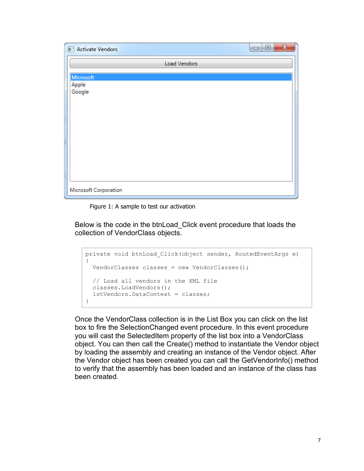

Figure 1: A sample to test our activation

Below is the code in the btnLoad\_Click event procedure that loads the collection of VendorClass objects.

```
private void btnLoad_Click(object sender, RoutedEventArgs e)
{
  VendorClasses classes = new VendorClasses();
  // Load all vendors in the XML file
  classes.LoadVendors();
  lstVendors.DataContext = classes;
}
```
Once the VendorClass collection is in the List Box you can click on the list box to fire the SelectionChanged event procedure. In this event procedure you will cast the SelectedItem property of the list box into a VendorClass object. You can then call the Create() method to instantiate the Vendor object by loading the assembly and creating an instance of the Vendor object. After the Vendor object has been created you can call the GetVendorInfo() method to verify that the assembly has been loaded and an instance of the class has been created.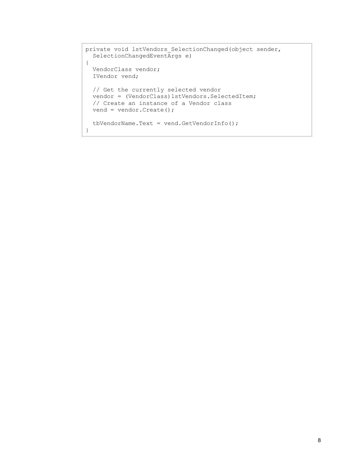```
private void lstVendors SelectionChanged(object sender,
  SelectionChangedEventArgs e)
{
  VendorClass vendor;
  IVendor vend;
  // Get the currently selected vendor
  vendor = (VendorClass)lstVendors.SelectedItem;
  // Create an instance of a Vendor class
  vend = vendor.Create();
  tbVendorName.Text = vend.GetVendorInfo();
}
```